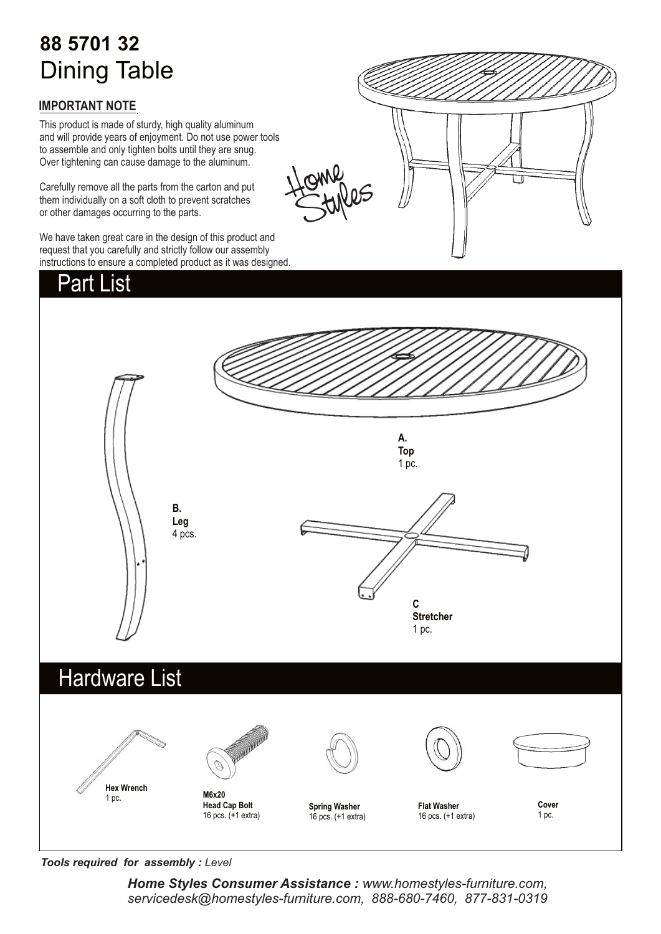# **88 5701 32** Dining Table

### **IMPORTANT NOTE**.

This product is made of sturdy, high quality aluminum and will provide years of enjoyment. Do not use power tools to assemble and only tighten bolts until they are snug. Over tightening can cause damage to the aluminum.

Carefully remove all the parts from the carton and put them individually on a soft cloth to prevent scratches or other damages occurring to the parts.

We have taken great care in the design of this product and request that you carefully and strictly follow our assembly instructions to ensure a completed product as it was designed.

## Hardware List Part List **A. Top** 1 pc. **B. Leg** 4 pcs. **Hex Wrench** 1 pc. **M6x20 Head Cap Bolt** 16 pcs. (+1 extra) **Flat Washer** 16 pcs. (+1 extra) **Cover** 1 pc. **C Stretcher** 1 pc. **Spring Washer** 16 pcs. (+1 extra)

*Tools required for assembly : Level*

*Home Styles Consumer Assistance : www.homestyles-furniture.com, servicedesk@homestyles-furniture.com, 888-680-7460, 877-831-0319*